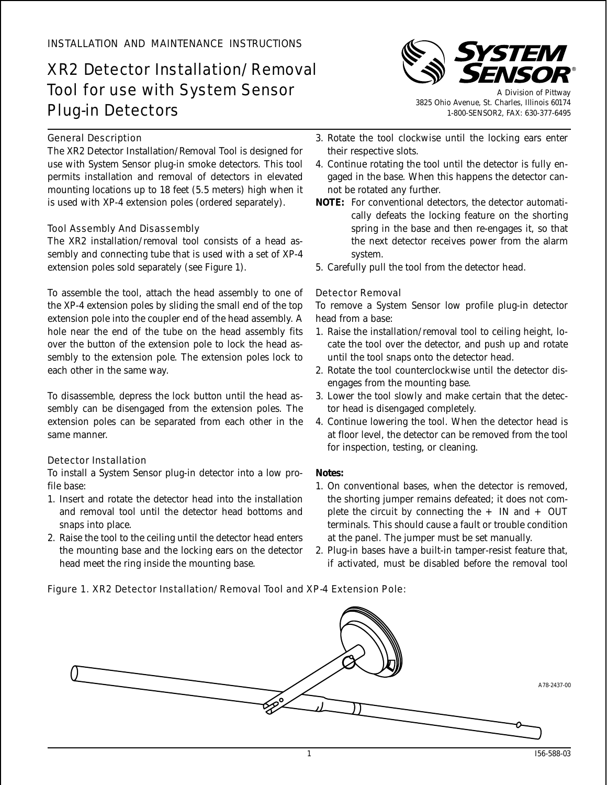# XR2 Detector Installation/Removal Tool for use with System Sensor Plug-in Detectors

# General Description

The XR2 Detector Installation/Removal Tool is designed for use with System Sensor plug-in smoke detectors. This tool permits installation and removal of detectors in elevated mounting locations up to 18 feet (5.5 meters) high when it is used with XP-4 extension poles (ordered separately).

# Tool Assembly And Disassembly

The XR2 installation/removal tool consists of a head assembly and connecting tube that is used with a set of XP-4 extension poles sold separately (see Figure 1).

To assemble the tool, attach the head assembly to one of the XP-4 extension poles by sliding the small end of the top extension pole into the coupler end of the head assembly. A hole near the end of the tube on the head assembly fits over the button of the extension pole to lock the head assembly to the extension pole. The extension poles lock to each other in the same way.

To disassemble, depress the lock button until the head assembly can be disengaged from the extension poles. The extension poles can be separated from each other in the same manner.

# Detector Installation

To install a System Sensor plug-in detector into a low profile base:

- 1. Insert and rotate the detector head into the installation and removal tool until the detector head bottoms and snaps into place.
- 2. Raise the tool to the ceiling until the detector head enters the mounting base and the locking ears on the detector head meet the ring inside the mounting base.



A Division of Pittway 3825 Ohio Avenue, St. Charles, Illinois 60174 1-800-SENSOR2, FAX: 630-377-6495

- 3. Rotate the tool clockwise until the locking ears enter their respective slots.
- 4. Continue rotating the tool until the detector is fully engaged in the base. When this happens the detector cannot be rotated any further.
- **NOTE:** For conventional detectors, the detector automatically defeats the locking feature on the shorting spring in the base and then re-engages it, so that the next detector receives power from the alarm system.
- 5. Carefully pull the tool from the detector head.

# Detector Removal

To remove a System Sensor low profile plug-in detector head from a base:

- 1. Raise the installation/removal tool to ceiling height, locate the tool over the detector, and push up and rotate until the tool snaps onto the detector head.
- 2. Rotate the tool counterclockwise until the detector disengages from the mounting base.
- 3. Lower the tool slowly and make certain that the detector head is disengaged completely.
- 4. Continue lowering the tool. When the detector head is at floor level, the detector can be removed from the tool for inspection, testing, or cleaning.

#### **Notes:**

- 1. On conventional bases, when the detector is removed, the shorting jumper remains defeated; it does not complete the circuit by connecting the  $+$  IN and  $+$  OUT terminals. This should cause a fault or trouble condition at the panel. The jumper must be set manually.
- 2. Plug-in bases have a built-in tamper-resist feature that, if activated, must be disabled before the removal tool

#### Figure 1. XR2 Detector Installation/Removal Tool and XP-4 Extension Pole: